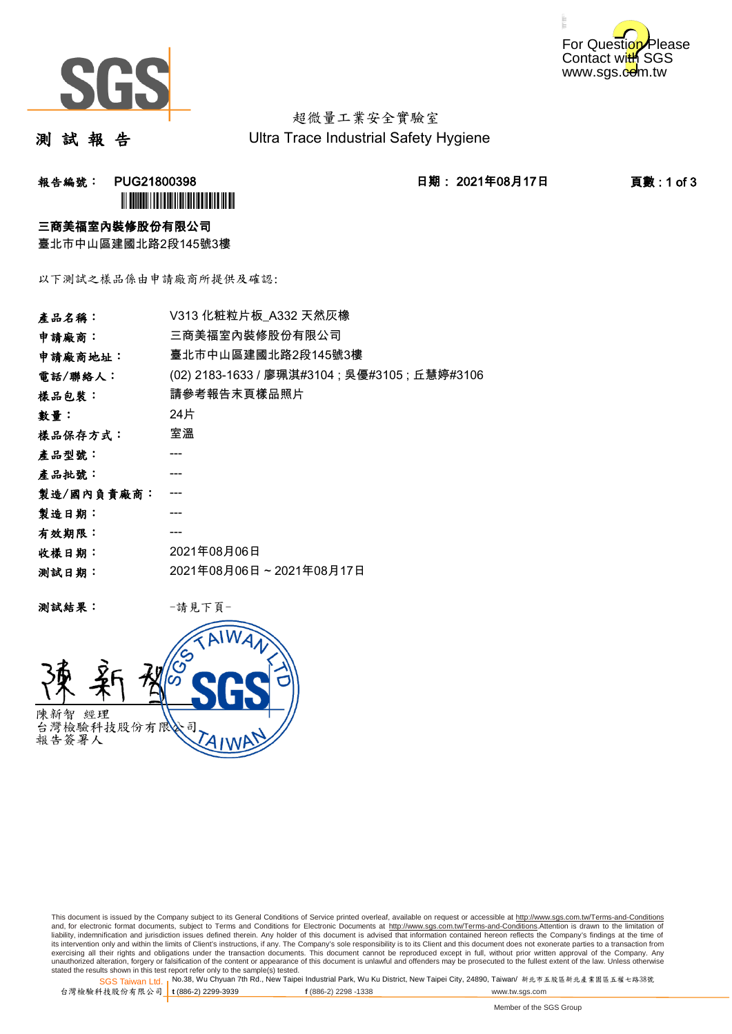



超微量工業安全實驗室 Ultra Trace Industrial Safety Hygiene

測 試 報 告

报告編號: PUG21800398 2021年08月17日 11: 日期: 2021年08月17日 2021年08月17日 2021年0月17日 2021年0月17日 2021年0月17日 2021年0月17日 2021年0月17日 2021年0月17日 2021年0月17日 2021年0月17日 2021年0月17日 2021年0月17日 2021年0月17日 2021年0月17日 2021年0月17日 2021年0月17日 2021 **`** 

### 三商美福室內裝修股份有限公司

臺北市中山區建國北路2段145號3樓

以下測試之樣品係由申請廠商所提供及確認:

| 產品名稱:      | V313 化粧粒片板 A332 天然灰橡                           |  |  |
|------------|------------------------------------------------|--|--|
| 申請廠商:      | 三商美福室內裝修股份有限公司                                 |  |  |
| 申請廠商地址:    | 臺北市中山區建國北路2段145號3樓                             |  |  |
| 電話/聯絡人:    | (02) 2183-1633 / 廖珮淇#3104 ; 吳優#3105 ; 丘慧婷#3106 |  |  |
| 樣品包裝:      | 請參考報告末頁樣品照片                                    |  |  |
| 數量:        | 24片                                            |  |  |
| 樣品保存方式:    | 室溫                                             |  |  |
| 產品型號:      |                                                |  |  |
| 產品批號:      |                                                |  |  |
| 製造/國內負責廠商: |                                                |  |  |
| 製造日期:      |                                                |  |  |
| 有效期限:      |                                                |  |  |
| 收樣日期:      | 2021年08月06日                                    |  |  |
| 测試日期:      | 2021年08月06日~2021年08月17日                        |  |  |
|            |                                                |  |  |

测試結果: 一請見下頁



This document is issued by the Company subject to its General Conditions of Service printed overleaf, available on request or accessible at http://www.sgs.com.tw/Terms-and-Conditions and, for electronic format documents, subject to Terms and Conditions for Electronic Documents at <u>http://www.sgs.com.tw/Terms-and-Conditions</u>.Attention is drawn to the limitation of<br>liability, indemnification and jurisdic exercising all their rights and obligations under the transaction documents. This document cannot be reproduced except in full, without prior written approval of the Company. Any<br>unauthorized alteration, forgery or falsifi

SGS Taiwan Ltd. 1 stated the results shown in this test report refer only to the sample(s) tested.<br>Stated the results shown in this test report refer only to the sample(s) tested.

台灣檢驗科技股份有限公司

**t** (886-2) 2299-3939 **f** (886-2) 2298 -1338 www.tw.sgs.com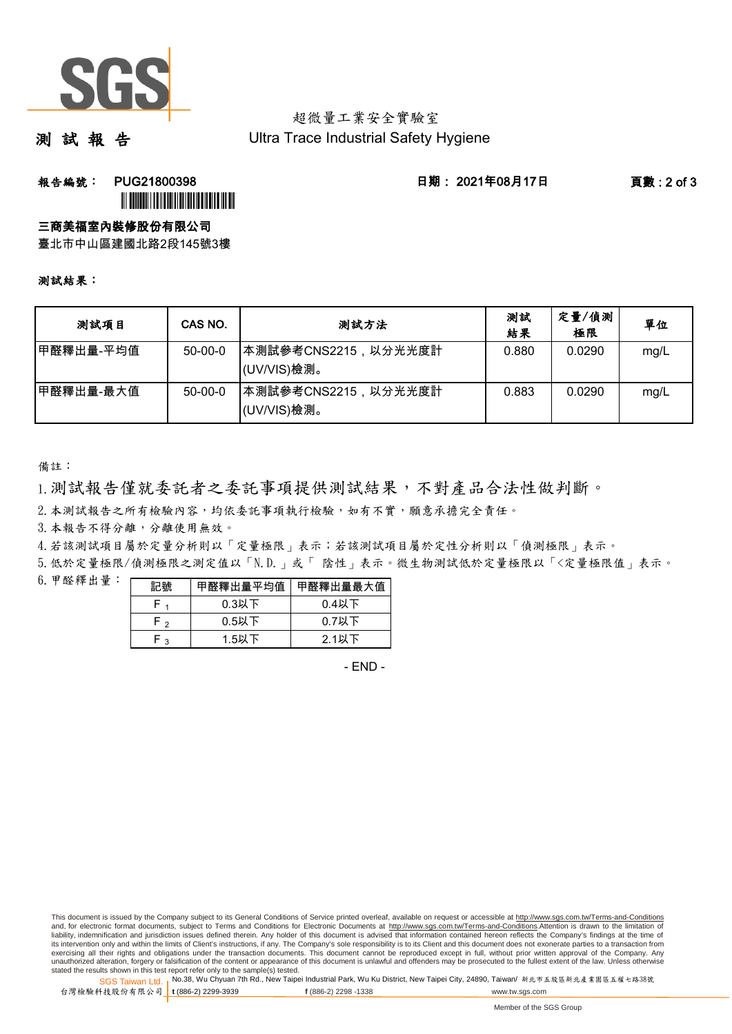

## 超微量工業安全實驗室 Ultra Trace Industrial Safety Hygiene

測 試 報 告

**報告編號: PUG21800398 日期: 2021年08月17日 頁數:2 of 3 `** 

### 三商美福室內裝修股份有限公司

臺北市中山區建國北路2段145號3樓

#### 測試結果:

| 測試項目      | CAS NO.       | 测試方法                                | 測試<br>結果 | 定量/偵測<br>極限 | 單位   |
|-----------|---------------|-------------------------------------|----------|-------------|------|
| 甲醛釋出量-平均值 | $50-00-0$     | ┃本測試參考CNS2215,以分光光度計<br>(UV/VIS)檢測。 | 0.880    | 0.0290      | mg/L |
| 甲醛釋出量-最大值 | $50 - 00 - 0$ | ┃本測試參考CNS2215,以分光光度計<br>(UV/VIS)檢測。 | 0.883    | 0.0290      | mg/L |

備註:

1.測試報告僅就委託者之委託事項提供測試結果,不對產品合法性做判斷。

2. 本測試報告之所有檢驗內容,均依委託事項執行檢驗,如有不實,願意承擔完全責任。

3.本報告不得分離,分離使用無效。

4.若該測試項目屬於定量分析則以「定量極限」表示;若該測試項目屬於定性分析則以「偵測極限」表示。

5.低於定量極限/偵測極限之測定值以「N.D.」或「 陰性」表示。微生物測試低於定量極限以「<定量極限值」表示。

6.甲醛釋出量:

|     | 甲醛釋出量平均值 | 甲醛釋出量最大值 |
|-----|----------|----------|
|     | $0.3$ 以下 | $0.4$ 以下 |
| ه ۲ | $0.5$ 以下 | 0.7以下    |
| ່າ  | 1.5以下    | $2.1$ 以下 |

- END -

This document is issued by the Company subject to its General Conditions of Service printed overleaf, available on request or accessible at http://www.sgs.com.tw/Terms-and-Conditions and, for electronic format documents, subject to Terms and Conditions for Electronic Documents at http://www.sgs.com.tw/Terms-and-Conditions.Attention is drawn to the limitation of liability, indemnification and jurisdiction issues defined therein. Any holder of this document is advised that information contained hereon reflects the Company's findings at the time of<br>its intervention only and within t exercising all their rights and obligations under the transaction documents. This document cannot be reproduced except in full, without prior written approval of the Company. Any<br>unauthorized alteration, forgery or falsifi

SGS Taiwan Ltd. 1 stated the results shown in this test report refer only to the sample(s) tested.<br>Stated the results shown in this test report refer only to the sample(s) tested.

台灣檢驗科技股份有限公司

**t** (886-2) 2299-3939 **f** (886-2) 2298 -1338 www.tw.sgs.com